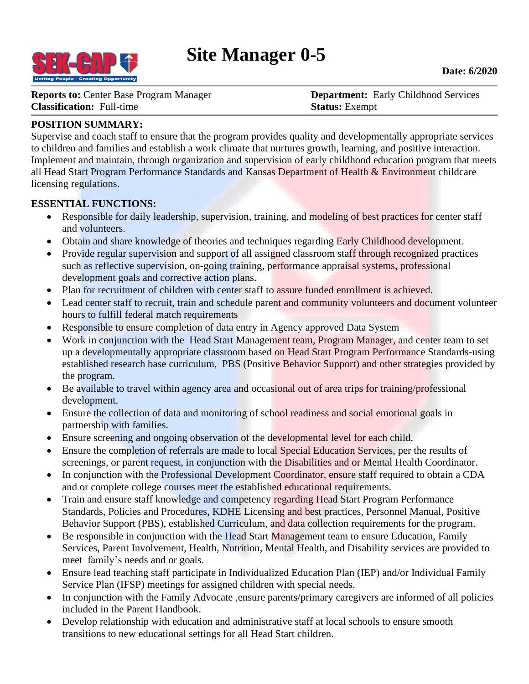

**Reports to: Center Base Program Manager <b>Department:** Early Childhood Services **Classification:** Full-time **Status:** Exempt

# **POSITION SUMMARY:**

Supervise and coach staff to ensure that the program provides quality and developmentally appropriate services to children and families and establish a work climate that nurtures growth, learning, and positive interaction. Implement and maintain, through organization and supervision of early childhood education program that meets all Head Start Program Performance Standards and Kansas Department of Health & Environment childcare licensing regulations.

### **ESSENTIAL FUNCTIONS:**

- Responsible for daily leadership, supervision, training, and modeling of best practices for center staff and volunteers.
- Obtain and share knowledge of theories and techniques regarding Early Childhood development.
- Provide regular supervision and support of all assigned classroom staff through recognized practices such as reflective supervision, on-going training, performance appraisal systems, professional development goals and corrective action plans.
- Plan for recruitment of children with center staff to assure funded enrollment is achieved.
- Lead center staff to recruit, train and schedule parent and community volunteers and document volunteer hours to fulfill federal match requirements
- Responsible to ensure completion of data entry in Agency approved Data System
- Work in conjunction with the Head Start Management team, Program Manager, and center team to set up a developmentally appropriate classroom based on Head Start Program Performance Standards-using established research base curriculum, PBS (Positive Behavior Support) and other strategies provided by the program.
- Be available to travel within agency area and occasional out of area trips for training/professional development.
- Ensure the collection of data and monitoring of school readiness and social emotional goals in partnership with families.
- Ensure screening and ongoing observation of the developmental level for each child.
- Ensure the completion of referrals are made to local Special Education Services, per the results of screenings, or parent request, in conjunction with the Disabilities and or Mental Health Coordinator.
- In conjunction with the Professional Development Coordinator, ensure staff required to obtain a CDA and or complete college courses meet the established educational requirements.
- Train and ensure staff knowledge and competency regarding Head Start Program Performance Standards, Policies and Procedures, KDHE Licensing and best practices, Personnel Manual, Positive Behavior Support (PBS), established Curriculum, and data collection requirements for the program.
- Be responsible in conjunction with the Head Start Management team to ensure Education, Family Services, Parent Involvement, Health, Nutrition, Mental Health, and Disability services are provided to meet family's needs and or goals.
- Ensure lead teaching staff participate in Individualized Education Plan (IEP) and/or Individual Family Service Plan (IFSP) meetings for assigned children with special needs.
- In conjunction with the Family Advocate ,ensure parents/primary caregivers are informed of all policies included in the Parent Handbook.
- Develop relationship with education and administrative staff at local schools to ensure smooth transitions to new educational settings for all Head Start children.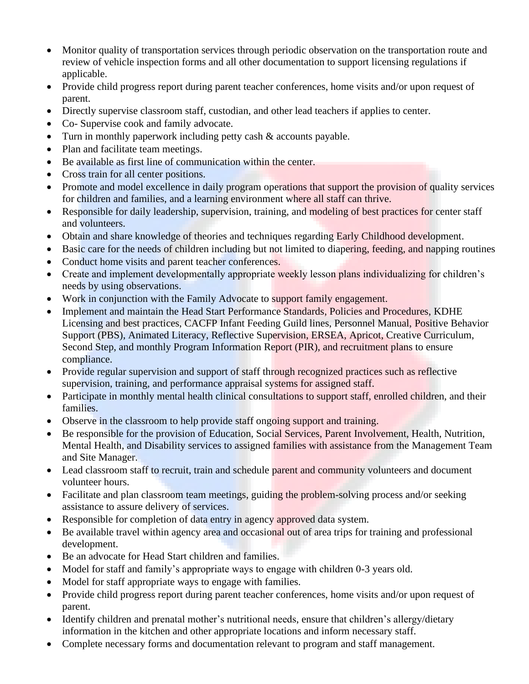- Monitor quality of transportation services through periodic observation on the transportation route and review of vehicle inspection forms and all other documentation to support licensing regulations if applicable.
- Provide child progress report during parent teacher conferences, home visits and/or upon request of parent.
- Directly supervise classroom staff, custodian, and other lead teachers if applies to center.
- Co- Supervise cook and family advocate.
- Turn in monthly paperwork including petty cash & accounts payable.
- Plan and facilitate team meetings.
- Be available as first line of communication within the center.
- Cross train for all center positions.
- Promote and model excellence in daily program operations that support the provision of quality services for children and families, and a learning environment where all staff can thrive.
- Responsible for daily leadership, supervision, training, and modeling of best practices for center staff and volunteers.
- Obtain and share knowledge of theories and techniques regarding Early Childhood development.
- Basic care for the needs of children including but not limited to diapering, feeding, and napping routines
- Conduct home visits and parent teacher conferences.
- Create and implement developmentally appropriate weekly lesson plans individualizing for children's needs by using observations.
- Work in conjunction with the Family Advocate to support family engagement.
- Implement and maintain the Head Start Performance Standards, Policies and Procedures, KDHE Licensing and best practices, CACFP Infant Feeding Guild lines, Personnel Manual, Positive Behavior Support (PBS), Animated Literacy, Reflective Supervision, ERSEA, Apricot, Creative Curriculum, Second Step, and monthly Program Information Report (PIR), and recruitment plans to ensure compliance.
- Provide regular supervision and support of staff through recognized practices such as reflective supervision, training, and performance appraisal systems for assigned staff.
- Participate in monthly mental health clinical consultations to support staff, enrolled children, and their families.
- Observe in the classroom to help provide staff ongoing support and training.
- Be responsible for the provision of Education, Social Services, Parent Involvement, Health, Nutrition, Mental Health, and Disability services to assigned families with assistance from the Management Team and Site Manager.
- Lead classroom staff to recruit, train and schedule parent and community volunteers and document volunteer hours.
- Facilitate and plan classroom team meetings, guiding the problem-solving process and/or seeking assistance to assure delivery of services.
- Responsible for completion of data entry in agency approved data system.
- Be available travel within agency area and occasional out of area trips for training and professional development.
- Be an advocate for Head Start children and families.
- Model for staff and family's appropriate ways to engage with children 0-3 years old.
- Model for staff appropriate ways to engage with families.
- Provide child progress report during parent teacher conferences, home visits and/or upon request of parent.
- Identify children and prenatal mother's nutritional needs, ensure that children's allergy/dietary information in the kitchen and other appropriate locations and inform necessary staff.
- Complete necessary forms and documentation relevant to program and staff management.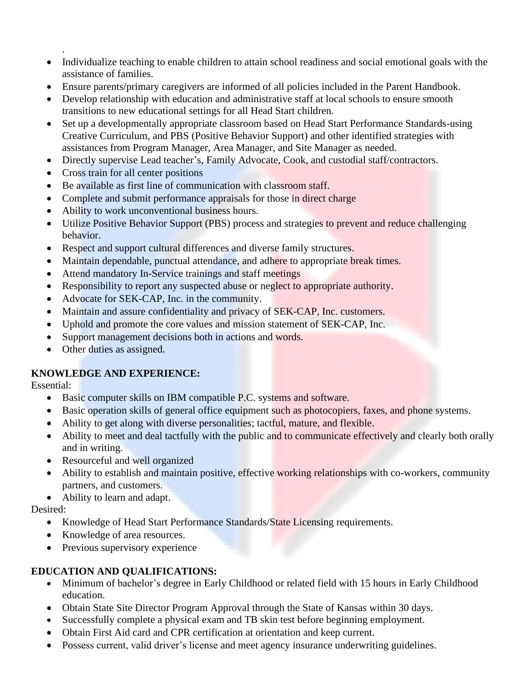- Individualize teaching to enable children to attain school readiness and social emotional goals with the assistance of families.
- Ensure parents/primary caregivers are informed of all policies included in the Parent Handbook.
- Develop relationship with education and administrative staff at local schools to ensure smooth transitions to new educational settings for all Head Start children.
- Set up a developmentally appropriate classroom based on Head Start Performance Standards-using Creative Curriculum, and PBS (Positive Behavior Support) and other identified strategies with assistances from Program Manager, Area Manager, and Site Manager as needed.
- Directly supervise Lead teacher's, Family Advocate, Cook, and custodial staff/contractors.
- Cross train for all center positions
- Be available as first line of communication with classroom staff.
- Complete and submit performance appraisals for those in direct charge
- Ability to work unconventional business hours.
- Utilize Positive Behavior Support (PBS) process and strategies to prevent and reduce challenging behavior.
- Respect and support cultural differences and diverse family structures.
- Maintain dependable, punctual attendance, and adhere to appropriate break times.
- Attend mandatory In-Service trainings and staff meetings
- Responsibility to report any suspected abuse or neglect to appropriate authority.
- Advocate for SEK-CAP, Inc. in the community.
- Maintain and assure confidentiality and privacy of SEK-CAP, Inc. customers.
- Uphold and promote the core values and mission statement of SEK-CAP, Inc.
- Support management decisions both in actions and words.
- Other duties as assigned.

# **KNOWLEDGE AND EXPERIENCE:**

Essential:

.

- Basic computer skills on IBM compatible P.C. systems and software.
- Basic operation skills of general office equipment such as photocopiers, faxes, and phone systems.
- Ability to get along with diverse personalities; tactful, mature, and flexible.
- Ability to meet and deal tactfully with the public and to communicate effectively and clearly both orally and in writing.
- Resourceful and well organized
- Ability to establish and maintain positive, effective working relationships with co-workers, community partners, and customers.

• Ability to learn and adapt.

Desired:

- Knowledge of Head Start Performance Standards/State Licensing requirements.
- Knowledge of area resources.
- Previous supervisory experience

# **EDUCATION AND QUALIFICATIONS:**

- Minimum of bachelor's degree in Early Childhood or related field with 15 hours in Early Childhood education.
- Obtain State Site Director Program Approval through the State of Kansas within 30 days.
- Successfully complete a physical exam and TB skin test before beginning employment.
- Obtain First Aid card and CPR certification at orientation and keep current.
- Possess current, valid driver's license and meet agency insurance underwriting guidelines.